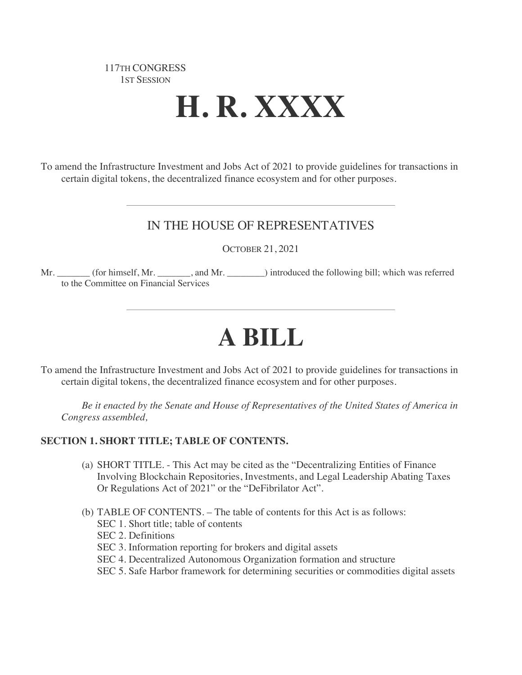# 117TH CONGRESS 1ST SESSION

# **H. R. XXXX**

To amend the Infrastructure Investment and Jobs Act of 2021 to provide guidelines for transactions in certain digital tokens, the decentralized finance ecosystem and for other purposes.

# IN THE HOUSE OF REPRESENTATIVES

OCTOBER 21, 2021

Mr. \_\_\_\_\_\_\_\_ (for himself, Mr. \_\_\_\_\_\_\_, and Mr. \_\_\_\_\_\_\_) introduced the following bill; which was referred to the Committee on Financial Services

# **A BILL**

To amend the Infrastructure Investment and Jobs Act of 2021 to provide guidelines for transactions in certain digital tokens, the decentralized finance ecosystem and for other purposes.

*Be it enacted by the Senate and House of Representatives of the United States of America in Congress assembled,*

# **SECTION 1. SHORT TITLE; TABLE OF CONTENTS.**

- (a) SHORT TITLE. This Act may be cited as the "Decentralizing Entities of Finance Involving Blockchain Repositories, Investments, and Legal Leadership Abating Taxes Or Regulations Act of 2021" or the "DeFibrilator Act".
- (b) TABLE OF CONTENTS. The table of contents for this Act is as follows:
	- SEC 1. Short title; table of contents
	- SEC 2. Definitions
	- SEC 3. Information reporting for brokers and digital assets
	- SEC 4. Decentralized Autonomous Organization formation and structure
	- SEC 5. Safe Harbor framework for determining securities or commodities digital assets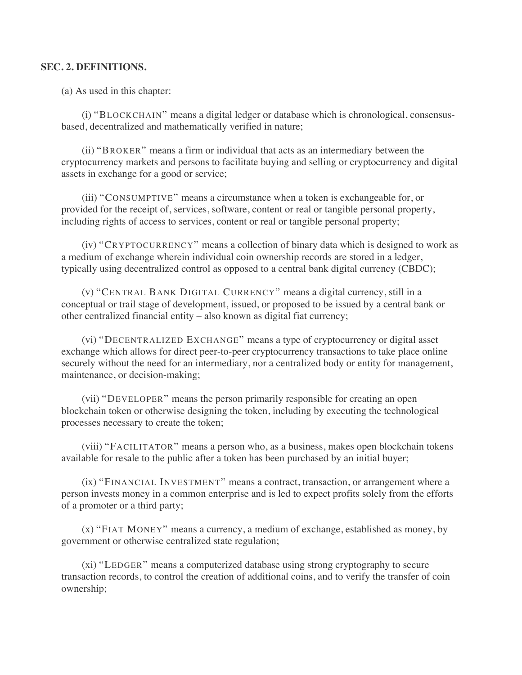#### **SEC. 2. DEFINITIONS.**

(a) As used in this chapter:

(i) "BLOCKCHAIN" means a digital ledger or database which is chronological, consensusbased, decentralized and mathematically verified in nature;

(ii) "BROKER" means a firm or individual that acts as an intermediary between the cryptocurrency markets and persons to facilitate buying and selling or cryptocurrency and digital assets in exchange for a good or service;

(iii) "CONSUMPTIVE" means a circumstance when a token is exchangeable for, or provided for the receipt of, services, software, content or real or tangible personal property, including rights of access to services, content or real or tangible personal property;

(iv) "CRYPTOCURRENCY" means a collection of binary data which is designed to work as a medium of exchange wherein individual coin ownership records are stored in a ledger, typically using decentralized control as opposed to a central bank digital currency (CBDC);

(v) "CENTRAL BANK DIGITAL CURRENCY" means a digital currency, still in a conceptual or trail stage of development, issued, or proposed to be issued by a central bank or other centralized financial entity – also known as digital fiat currency;

(vi) "DECENTRALIZED EXCHANGE" means a type of cryptocurrency or digital asset exchange which allows for direct peer-to-peer cryptocurrency transactions to take place online securely without the need for an intermediary, nor a centralized body or entity for management, maintenance, or decision-making;

(vii) "DEVELOPER" means the person primarily responsible for creating an open blockchain token or otherwise designing the token, including by executing the technological processes necessary to create the token;

(viii) "FACILITATOR" means a person who, as a business, makes open blockchain tokens available for resale to the public after a token has been purchased by an initial buyer;

(ix) "FINANCIAL INVESTMENT" means a contract, transaction, or arrangement where a person invests money in a common enterprise and is led to expect profits solely from the efforts of a promoter or a third party;

(x) "FIAT MONEY" means a currency, a medium of exchange, established as money, by government or otherwise centralized state regulation;

(xi) "LEDGER" means a computerized database using strong cryptography to secure transaction records, to control the creation of additional coins, and to verify the transfer of coin ownership;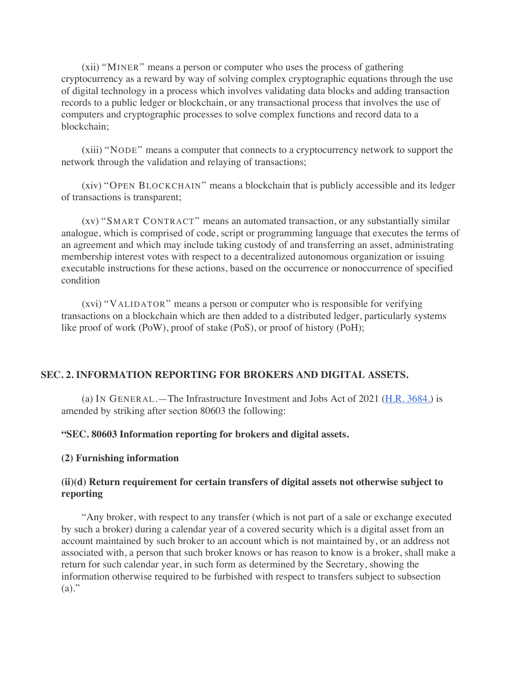(xii) "MINER" means a person or computer who uses the process of gathering cryptocurrency as a reward by way of solving complex cryptographic equations through the use of digital technology in a process which involves validating data blocks and adding transaction records to a public ledger or blockchain, or any transactional process that involves the use of computers and cryptographic processes to solve complex functions and record data to a blockchain;

(xiii) "NODE" means a computer that connects to a cryptocurrency network to support the network through the validation and relaying of transactions;

(xiv) "OPEN BLOCKCHAIN" means a blockchain that is publicly accessible and its ledger of transactions is transparent;

(xv) "SMART CONTRACT" means an automated transaction, or any substantially similar analogue, which is comprised of code, script or programming language that executes the terms of an agreement and which may include taking custody of and transferring an asset, administrating membership interest votes with respect to a decentralized autonomous organization or issuing executable instructions for these actions, based on the occurrence or nonoccurrence of specified condition

(xvi) "VALIDATOR" means a person or computer who is responsible for verifying transactions on a blockchain which are then added to a distributed ledger, particularly systems like proof of work (PoW), proof of stake (PoS), or proof of history (PoH);

# **SEC. 2. INFORMATION REPORTING FOR BROKERS AND DIGITAL ASSETS.**

(a) IN GENERAL.—The Infrastructure Investment and Jobs Act of 2021 (H.R. 3684.) is amended by striking after section 80603 the following:

#### **"SEC. 80603 Information reporting for brokers and digital assets.**

#### **(2) Furnishing information**

#### **(ii)(d) Return requirement for certain transfers of digital assets not otherwise subject to reporting**

"Any broker, with respect to any transfer (which is not part of a sale or exchange executed by such a broker) during a calendar year of a covered security which is a digital asset from an account maintained by such broker to an account which is not maintained by, or an address not associated with, a person that such broker knows or has reason to know is a broker, shall make a return for such calendar year, in such form as determined by the Secretary, showing the information otherwise required to be furbished with respect to transfers subject to subsection  $(a)$ ."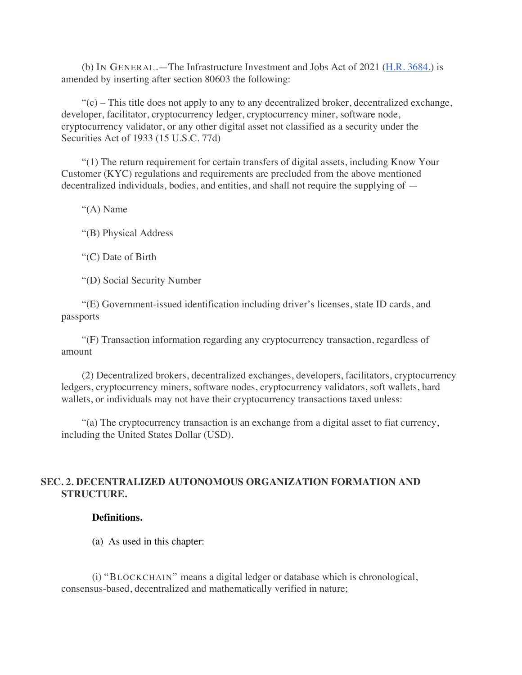(b) IN GENERAL.—The Infrastructure Investment and Jobs Act of 2021 (H.R. 3684.) is amended by inserting after section 80603 the following:

 $\mathcal{C}(c)$  – This title does not apply to any to any decentralized broker, decentralized exchange, developer, facilitator, cryptocurrency ledger, cryptocurrency miner, software node, cryptocurrency validator, or any other digital asset not classified as a security under the Securities Act of 1933 (15 U.S.C. 77d)

"(1) The return requirement for certain transfers of digital assets, including Know Your Customer (KYC) regulations and requirements are precluded from the above mentioned decentralized individuals, bodies, and entities, and shall not require the supplying of —

"(A) Name

"(B) Physical Address

"(C) Date of Birth

"(D) Social Security Number

"(E) Government-issued identification including driver's licenses, state ID cards, and passports

"(F) Transaction information regarding any cryptocurrency transaction, regardless of amount

(2) Decentralized brokers, decentralized exchanges, developers, facilitators, cryptocurrency ledgers, cryptocurrency miners, software nodes, cryptocurrency validators, soft wallets, hard wallets, or individuals may not have their cryptocurrency transactions taxed unless:

"(a) The cryptocurrency transaction is an exchange from a digital asset to fiat currency, including the United States Dollar (USD).

# **SEC. 2. DECENTRALIZED AUTONOMOUS ORGANIZATION FORMATION AND STRUCTURE.**

# **Definitions.**

(a) As used in this chapter:

(i) "BLOCKCHAIN" means a digital ledger or database which is chronological, consensus-based, decentralized and mathematically verified in nature;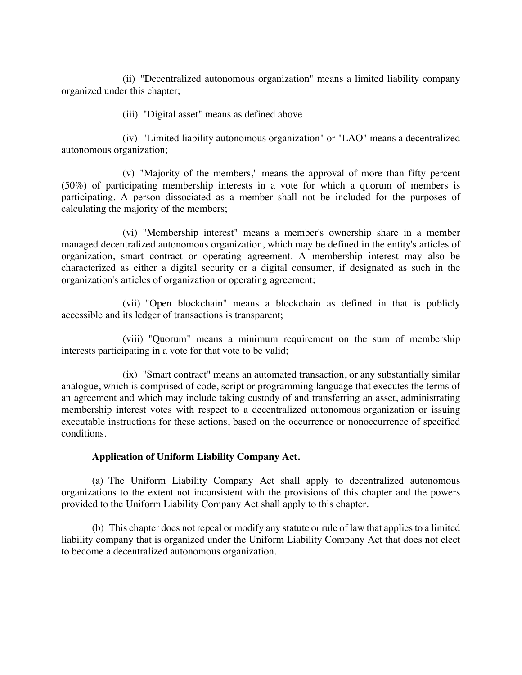(ii) "Decentralized autonomous organization" means a limited liability company organized under this chapter;

(iii) "Digital asset" means as defined above

(iv) "Limited liability autonomous organization" or "LAO" means a decentralized autonomous organization;

(v) "Majority of the members," means the approval of more than fifty percent (50%) of participating membership interests in a vote for which a quorum of members is participating. A person dissociated as a member shall not be included for the purposes of calculating the majority of the members;

(vi) "Membership interest" means a member's ownership share in a member managed decentralized autonomous organization, which may be defined in the entity's articles of organization, smart contract or operating agreement. A membership interest may also be characterized as either a digital security or a digital consumer, if designated as such in the organization's articles of organization or operating agreement;

(vii) "Open blockchain" means a blockchain as defined in that is publicly accessible and its ledger of transactions is transparent;

(viii) "Quorum" means a minimum requirement on the sum of membership interests participating in a vote for that vote to be valid;

(ix) "Smart contract" means an automated transaction, or any substantially similar analogue, which is comprised of code, script or programming language that executes the terms of an agreement and which may include taking custody of and transferring an asset, administrating membership interest votes with respect to a decentralized autonomous organization or issuing executable instructions for these actions, based on the occurrence or nonoccurrence of specified conditions.

# **Application of Uniform Liability Company Act.**

(a) The Uniform Liability Company Act shall apply to decentralized autonomous organizations to the extent not inconsistent with the provisions of this chapter and the powers provided to the Uniform Liability Company Act shall apply to this chapter.

(b) This chapter does not repeal or modify any statute or rule of law that applies to a limited liability company that is organized under the Uniform Liability Company Act that does not elect to become a decentralized autonomous organization.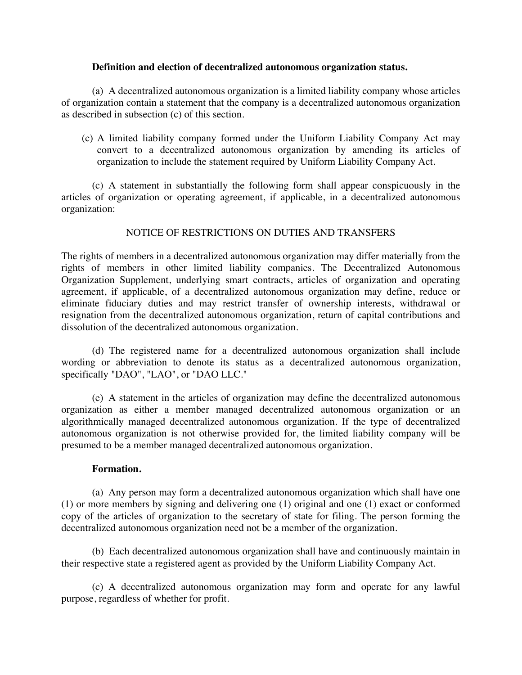#### **Definition and election of decentralized autonomous organization status.**

(a) A decentralized autonomous organization is a limited liability company whose articles of organization contain a statement that the company is a decentralized autonomous organization as described in subsection (c) of this section.

(c) A limited liability company formed under the Uniform Liability Company Act may convert to a decentralized autonomous organization by amending its articles of organization to include the statement required by Uniform Liability Company Act.

(c) A statement in substantially the following form shall appear conspicuously in the articles of organization or operating agreement, if applicable, in a decentralized autonomous organization:

# NOTICE OF RESTRICTIONS ON DUTIES AND TRANSFERS

The rights of members in a decentralized autonomous organization may differ materially from the rights of members in other limited liability companies. The Decentralized Autonomous Organization Supplement, underlying smart contracts, articles of organization and operating agreement, if applicable, of a decentralized autonomous organization may define, reduce or eliminate fiduciary duties and may restrict transfer of ownership interests, withdrawal or resignation from the decentralized autonomous organization, return of capital contributions and dissolution of the decentralized autonomous organization.

(d) The registered name for a decentralized autonomous organization shall include wording or abbreviation to denote its status as a decentralized autonomous organization, specifically "DAO", "LAO", or "DAO LLC."

(e) A statement in the articles of organization may define the decentralized autonomous organization as either a member managed decentralized autonomous organization or an algorithmically managed decentralized autonomous organization. If the type of decentralized autonomous organization is not otherwise provided for, the limited liability company will be presumed to be a member managed decentralized autonomous organization.

# **Formation.**

(a) Any person may form a decentralized autonomous organization which shall have one (1) or more members by signing and delivering one (1) original and one (1) exact or conformed copy of the articles of organization to the secretary of state for filing. The person forming the decentralized autonomous organization need not be a member of the organization.

(b) Each decentralized autonomous organization shall have and continuously maintain in their respective state a registered agent as provided by the Uniform Liability Company Act.

(c) A decentralized autonomous organization may form and operate for any lawful purpose, regardless of whether for profit.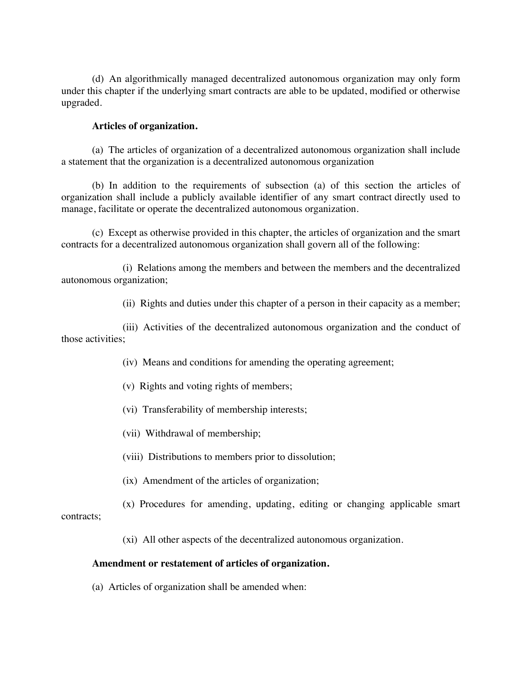(d) An algorithmically managed decentralized autonomous organization may only form under this chapter if the underlying smart contracts are able to be updated, modified or otherwise upgraded.

#### **Articles of organization.**

(a) The articles of organization of a decentralized autonomous organization shall include a statement that the organization is a decentralized autonomous organization

(b) In addition to the requirements of subsection (a) of this section the articles of organization shall include a publicly available identifier of any smart contract directly used to manage, facilitate or operate the decentralized autonomous organization.

(c) Except as otherwise provided in this chapter, the articles of organization and the smart contracts for a decentralized autonomous organization shall govern all of the following:

(i) Relations among the members and between the members and the decentralized autonomous organization;

(ii) Rights and duties under this chapter of a person in their capacity as a member;

(iii) Activities of the decentralized autonomous organization and the conduct of those activities;

- (iv) Means and conditions for amending the operating agreement;
- (v) Rights and voting rights of members;
- (vi) Transferability of membership interests;
- (vii) Withdrawal of membership;
- (viii) Distributions to members prior to dissolution;
- (ix) Amendment of the articles of organization;

(x) Procedures for amending, updating, editing or changing applicable smart contracts;

(xi) All other aspects of the decentralized autonomous organization.

#### **Amendment or restatement of articles of organization.**

(a) Articles of organization shall be amended when: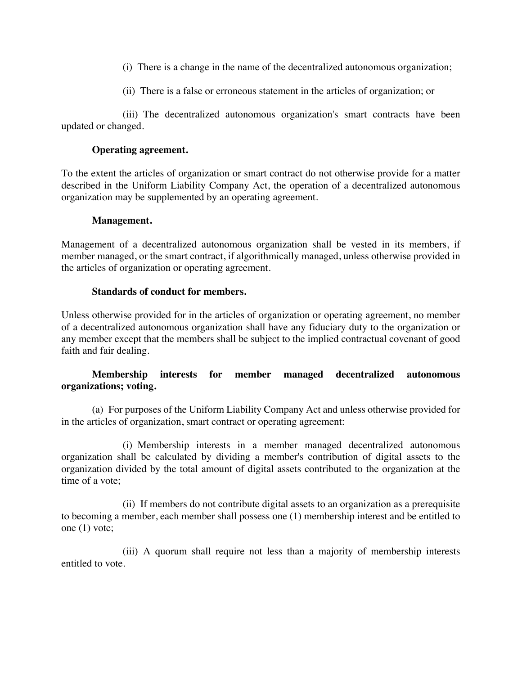- (i) There is a change in the name of the decentralized autonomous organization;
- (ii) There is a false or erroneous statement in the articles of organization; or

(iii) The decentralized autonomous organization's smart contracts have been updated or changed.

# **Operating agreement.**

To the extent the articles of organization or smart contract do not otherwise provide for a matter described in the Uniform Liability Company Act, the operation of a decentralized autonomous organization may be supplemented by an operating agreement.

#### **Management.**

Management of a decentralized autonomous organization shall be vested in its members, if member managed, or the smart contract, if algorithmically managed, unless otherwise provided in the articles of organization or operating agreement.

#### **Standards of conduct for members.**

Unless otherwise provided for in the articles of organization or operating agreement, no member of a decentralized autonomous organization shall have any fiduciary duty to the organization or any member except that the members shall be subject to the implied contractual covenant of good faith and fair dealing.

# **Membership interests for member managed decentralized autonomous organizations; voting.**

(a) For purposes of the Uniform Liability Company Act and unless otherwise provided for in the articles of organization, smart contract or operating agreement:

(i) Membership interests in a member managed decentralized autonomous organization shall be calculated by dividing a member's contribution of digital assets to the organization divided by the total amount of digital assets contributed to the organization at the time of a vote;

(ii) If members do not contribute digital assets to an organization as a prerequisite to becoming a member, each member shall possess one (1) membership interest and be entitled to one (1) vote;

(iii) A quorum shall require not less than a majority of membership interests entitled to vote.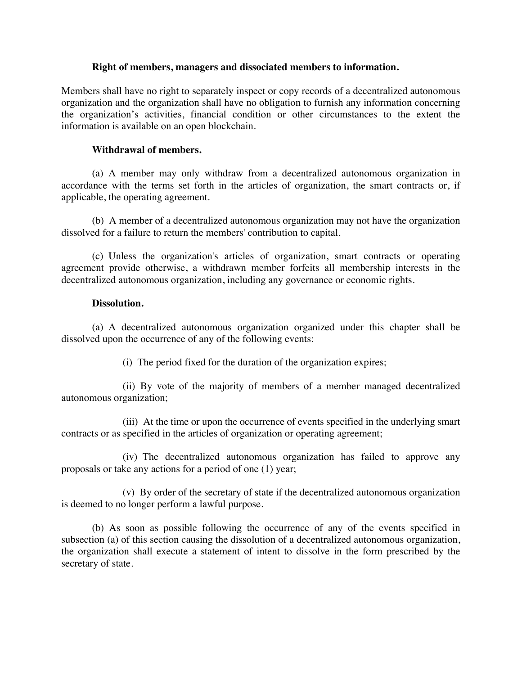#### **Right of members, managers and dissociated members to information.**

Members shall have no right to separately inspect or copy records of a decentralized autonomous organization and the organization shall have no obligation to furnish any information concerning the organization's activities, financial condition or other circumstances to the extent the information is available on an open blockchain.

# **Withdrawal of members.**

(a) A member may only withdraw from a decentralized autonomous organization in accordance with the terms set forth in the articles of organization, the smart contracts or, if applicable, the operating agreement.

(b) A member of a decentralized autonomous organization may not have the organization dissolved for a failure to return the members' contribution to capital.

(c) Unless the organization's articles of organization, smart contracts or operating agreement provide otherwise, a withdrawn member forfeits all membership interests in the decentralized autonomous organization, including any governance or economic rights.

# **Dissolution.**

(a) A decentralized autonomous organization organized under this chapter shall be dissolved upon the occurrence of any of the following events:

(i) The period fixed for the duration of the organization expires;

(ii) By vote of the majority of members of a member managed decentralized autonomous organization;

(iii) At the time or upon the occurrence of events specified in the underlying smart contracts or as specified in the articles of organization or operating agreement;

(iv) The decentralized autonomous organization has failed to approve any proposals or take any actions for a period of one (1) year;

(v) By order of the secretary of state if the decentralized autonomous organization is deemed to no longer perform a lawful purpose.

(b) As soon as possible following the occurrence of any of the events specified in subsection (a) of this section causing the dissolution of a decentralized autonomous organization, the organization shall execute a statement of intent to dissolve in the form prescribed by the secretary of state.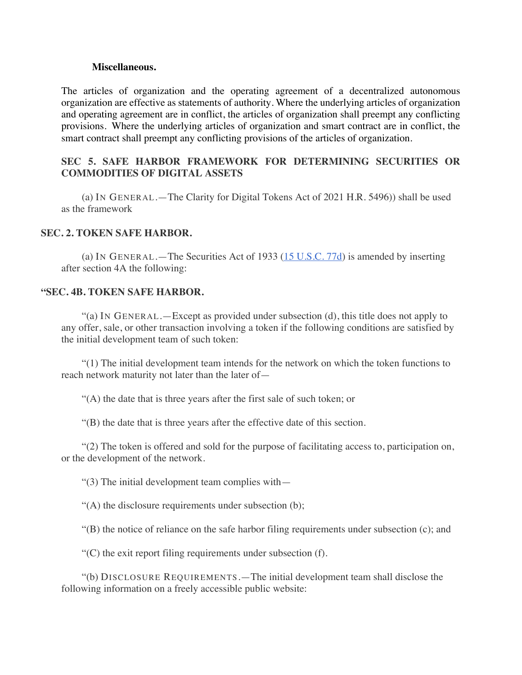#### **Miscellaneous.**

The articles of organization and the operating agreement of a decentralized autonomous organization are effective as statements of authority. Where the underlying articles of organization and operating agreement are in conflict, the articles of organization shall preempt any conflicting provisions. Where the underlying articles of organization and smart contract are in conflict, the smart contract shall preempt any conflicting provisions of the articles of organization.

# **SEC 5. SAFE HARBOR FRAMEWORK FOR DETERMINING SECURITIES OR COMMODITIES OF DIGITAL ASSETS**

(a) IN GENERAL.—The Clarity for Digital Tokens Act of 2021 H.R. 5496)) shall be used as the framework

#### **SEC. 2. TOKEN SAFE HARBOR.**

(a) IN GENERAL.—The Securities Act of 1933  $(15 \text{ U.S.C.} 77d)$  is amended by inserting after section 4A the following:

#### **"SEC. 4B. TOKEN SAFE HARBOR.**

"(a) IN GENERAL.—Except as provided under subsection (d), this title does not apply to any offer, sale, or other transaction involving a token if the following conditions are satisfied by the initial development team of such token:

"(1) The initial development team intends for the network on which the token functions to reach network maturity not later than the later of-

"(A) the date that is three years after the first sale of such token; or

"(B) the date that is three years after the effective date of this section.

"(2) The token is offered and sold for the purpose of facilitating access to, participation on, or the development of the network.

"(3) The initial development team complies with—

"(A) the disclosure requirements under subsection (b);

"(B) the notice of reliance on the safe harbor filing requirements under subsection (c); and

 $C$ ) the exit report filing requirements under subsection  $(f)$ .

"(b) DISCLOSURE REQUIREMENTS.—The initial development team shall disclose the following information on a freely accessible public website: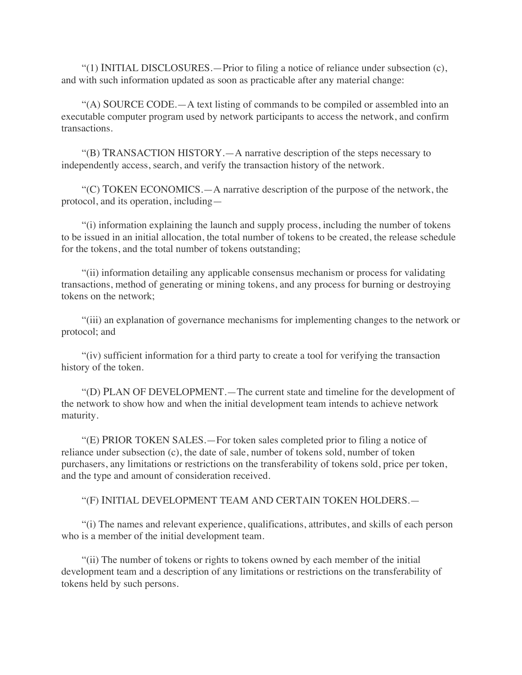"(1) INITIAL DISCLOSURES.—Prior to filing a notice of reliance under subsection (c), and with such information updated as soon as practicable after any material change:

"(A) SOURCE CODE.—A text listing of commands to be compiled or assembled into an executable computer program used by network participants to access the network, and confirm transactions.

"(B) TRANSACTION HISTORY.—A narrative description of the steps necessary to independently access, search, and verify the transaction history of the network.

"(C) TOKEN ECONOMICS.—A narrative description of the purpose of the network, the protocol, and its operation, including—

"(i) information explaining the launch and supply process, including the number of tokens to be issued in an initial allocation, the total number of tokens to be created, the release schedule for the tokens, and the total number of tokens outstanding;

"(ii) information detailing any applicable consensus mechanism or process for validating transactions, method of generating or mining tokens, and any process for burning or destroying tokens on the network;

"(iii) an explanation of governance mechanisms for implementing changes to the network or protocol; and

"(iv) sufficient information for a third party to create a tool for verifying the transaction history of the token.

"(D) PLAN OF DEVELOPMENT.—The current state and timeline for the development of the network to show how and when the initial development team intends to achieve network maturity.

"(E) PRIOR TOKEN SALES.—For token sales completed prior to filing a notice of reliance under subsection (c), the date of sale, number of tokens sold, number of token purchasers, any limitations or restrictions on the transferability of tokens sold, price per token, and the type and amount of consideration received.

"(F) INITIAL DEVELOPMENT TEAM AND CERTAIN TOKEN HOLDERS.—

"(i) The names and relevant experience, qualifications, attributes, and skills of each person who is a member of the initial development team.

"(ii) The number of tokens or rights to tokens owned by each member of the initial development team and a description of any limitations or restrictions on the transferability of tokens held by such persons.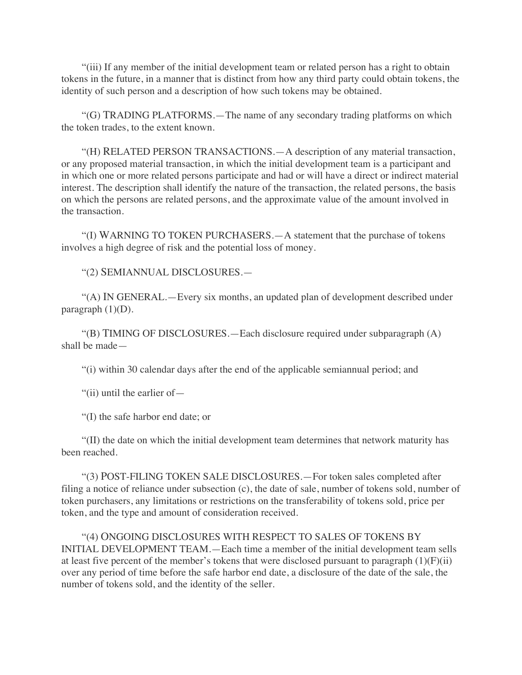"(iii) If any member of the initial development team or related person has a right to obtain tokens in the future, in a manner that is distinct from how any third party could obtain tokens, the identity of such person and a description of how such tokens may be obtained.

"(G) TRADING PLATFORMS.—The name of any secondary trading platforms on which the token trades, to the extent known.

"(H) RELATED PERSON TRANSACTIONS.—A description of any material transaction, or any proposed material transaction, in which the initial development team is a participant and in which one or more related persons participate and had or will have a direct or indirect material interest. The description shall identify the nature of the transaction, the related persons, the basis on which the persons are related persons, and the approximate value of the amount involved in the transaction.

"(I) WARNING TO TOKEN PURCHASERS.—A statement that the purchase of tokens involves a high degree of risk and the potential loss of money.

"(2) SEMIANNUAL DISCLOSURES.—

"(A) IN GENERAL.—Every six months, an updated plan of development described under paragraph  $(1)(D)$ .

"(B) TIMING OF DISCLOSURES.—Each disclosure required under subparagraph (A) shall be made—

"(i) within 30 calendar days after the end of the applicable semiannual period; and

"(ii) until the earlier of—

"(I) the safe harbor end date; or

"(II) the date on which the initial development team determines that network maturity has been reached.

"(3) POST-FILING TOKEN SALE DISCLOSURES.—For token sales completed after filing a notice of reliance under subsection (c), the date of sale, number of tokens sold, number of token purchasers, any limitations or restrictions on the transferability of tokens sold, price per token, and the type and amount of consideration received.

"(4) ONGOING DISCLOSURES WITH RESPECT TO SALES OF TOKENS BY INITIAL DEVELOPMENT TEAM.—Each time a member of the initial development team sells at least five percent of the member's tokens that were disclosed pursuant to paragraph  $(1)(F)(ii)$ over any period of time before the safe harbor end date, a disclosure of the date of the sale, the number of tokens sold, and the identity of the seller.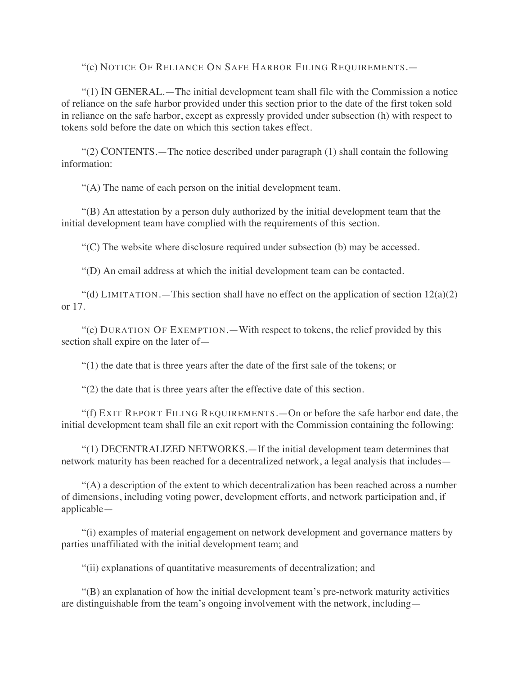"(c) NOTICE OF RELIANCE ON SAFE HARBOR FILING REQUIREMENTS.—

"(1) IN GENERAL.—The initial development team shall file with the Commission a notice of reliance on the safe harbor provided under this section prior to the date of the first token sold in reliance on the safe harbor, except as expressly provided under subsection (h) with respect to tokens sold before the date on which this section takes effect.

"(2) CONTENTS.—The notice described under paragraph (1) shall contain the following information:

"(A) The name of each person on the initial development team.

"(B) An attestation by a person duly authorized by the initial development team that the initial development team have complied with the requirements of this section.

"(C) The website where disclosure required under subsection (b) may be accessed.

"(D) An email address at which the initial development team can be contacted.

"(d) LIMITATION.—This section shall have no effect on the application of section  $12(a)(2)$ or 17.

"(e) DURATION OF EXEMPTION.—With respect to tokens, the relief provided by this section shall expire on the later of—

"(1) the date that is three years after the date of the first sale of the tokens; or

"(2) the date that is three years after the effective date of this section.

"(f) EXIT REPORT FILING REQUIREMENTS.—On or before the safe harbor end date, the initial development team shall file an exit report with the Commission containing the following:

"(1) DECENTRALIZED NETWORKS.—If the initial development team determines that network maturity has been reached for a decentralized network, a legal analysis that includes—

"(A) a description of the extent to which decentralization has been reached across a number of dimensions, including voting power, development efforts, and network participation and, if applicable—

"(i) examples of material engagement on network development and governance matters by parties unaffiliated with the initial development team; and

"(ii) explanations of quantitative measurements of decentralization; and

"(B) an explanation of how the initial development team's pre-network maturity activities are distinguishable from the team's ongoing involvement with the network, including—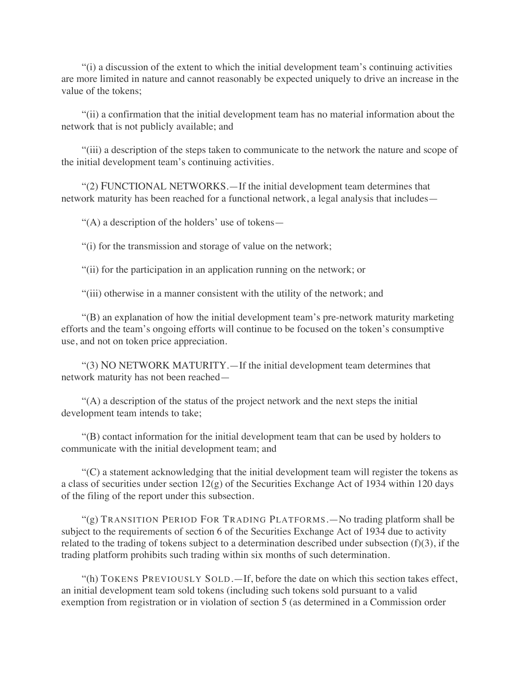"(i) a discussion of the extent to which the initial development team's continuing activities are more limited in nature and cannot reasonably be expected uniquely to drive an increase in the value of the tokens;

"(ii) a confirmation that the initial development team has no material information about the network that is not publicly available; and

"(iii) a description of the steps taken to communicate to the network the nature and scope of the initial development team's continuing activities.

"(2) FUNCTIONAL NETWORKS.—If the initial development team determines that network maturity has been reached for a functional network, a legal analysis that includes—

"(A) a description of the holders' use of tokens—

"(i) for the transmission and storage of value on the network;

"(ii) for the participation in an application running on the network; or

"(iii) otherwise in a manner consistent with the utility of the network; and

"(B) an explanation of how the initial development team's pre-network maturity marketing efforts and the team's ongoing efforts will continue to be focused on the token's consumptive use, and not on token price appreciation.

"(3) NO NETWORK MATURITY.—If the initial development team determines that network maturity has not been reached—

"(A) a description of the status of the project network and the next steps the initial development team intends to take;

"(B) contact information for the initial development team that can be used by holders to communicate with the initial development team; and

"(C) a statement acknowledging that the initial development team will register the tokens as a class of securities under section 12(g) of the Securities Exchange Act of 1934 within 120 days of the filing of the report under this subsection.

" $(g)$  TRANSITION PERIOD FOR TRADING PLATFORMS.—No trading platform shall be subject to the requirements of section 6 of the Securities Exchange Act of 1934 due to activity related to the trading of tokens subject to a determination described under subsection (f)(3), if the trading platform prohibits such trading within six months of such determination.

"(h) TOKENS PREVIOUSLY SOLD.—If, before the date on which this section takes effect, an initial development team sold tokens (including such tokens sold pursuant to a valid exemption from registration or in violation of section 5 (as determined in a Commission order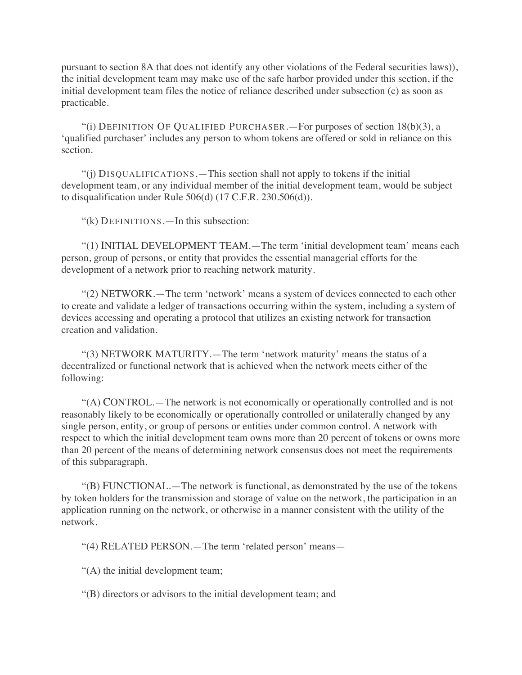pursuant to section 8A that does not identify any other violations of the Federal securities laws)), the initial development team may make use of the safe harbor provided under this section, if the initial development team files the notice of reliance described under subsection (c) as soon as practicable.

"(i) DEFINITION OF QUALIFIED PURCHASER.—For purposes of section  $18(b)(3)$ , a 'qualified purchaser' includes any person to whom tokens are offered or sold in reliance on this section.

"(j) DISQUALIFICATIONS.—This section shall not apply to tokens if the initial development team, or any individual member of the initial development team, would be subject to disqualification under Rule 506(d) (17 C.F.R. 230.506(d)).

"(k) DEFINITIONS.—In this subsection:

"(1) INITIAL DEVELOPMENT TEAM.—The term 'initial development team' means each person, group of persons, or entity that provides the essential managerial efforts for the development of a network prior to reaching network maturity.

"(2) NETWORK.—The term 'network' means a system of devices connected to each other to create and validate a ledger of transactions occurring within the system, including a system of devices accessing and operating a protocol that utilizes an existing network for transaction creation and validation.

"(3) NETWORK MATURITY.—The term 'network maturity' means the status of a decentralized or functional network that is achieved when the network meets either of the following:

"(A) CONTROL.—The network is not economically or operationally controlled and is not reasonably likely to be economically or operationally controlled or unilaterally changed by any single person, entity, or group of persons or entities under common control. A network with respect to which the initial development team owns more than 20 percent of tokens or owns more than 20 percent of the means of determining network consensus does not meet the requirements of this subparagraph.

"(B) FUNCTIONAL.—The network is functional, as demonstrated by the use of the tokens by token holders for the transmission and storage of value on the network, the participation in an application running on the network, or otherwise in a manner consistent with the utility of the network.

"(4) RELATED PERSON.—The term 'related person' means—

"(A) the initial development team;

"(B) directors or advisors to the initial development team; and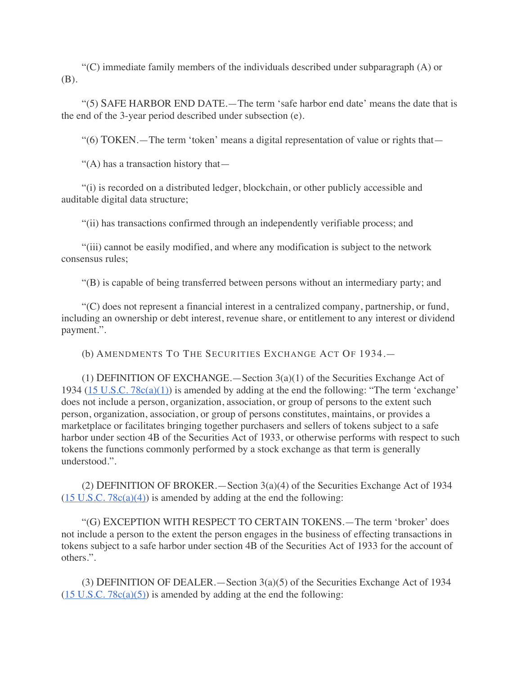"(C) immediate family members of the individuals described under subparagraph (A) or (B).

"(5) SAFE HARBOR END DATE.—The term 'safe harbor end date' means the date that is the end of the 3-year period described under subsection (e).

"(6) TOKEN.—The term 'token' means a digital representation of value or rights that—

"(A) has a transaction history that $-$ 

"(i) is recorded on a distributed ledger, blockchain, or other publicly accessible and auditable digital data structure;

"(ii) has transactions confirmed through an independently verifiable process; and

"(iii) cannot be easily modified, and where any modification is subject to the network consensus rules;

"(B) is capable of being transferred between persons without an intermediary party; and

"(C) does not represent a financial interest in a centralized company, partnership, or fund, including an ownership or debt interest, revenue share, or entitlement to any interest or dividend payment.".

(b) AMENDMENTS TO THE SECURITIES EXCHANGE ACT OF 1934.—

(1) DEFINITION OF EXCHANGE.—Section  $3(a)(1)$  of the Securities Exchange Act of 1934 (15 U.S.C. 78c(a)(1)) is amended by adding at the end the following: "The term 'exchange' does not include a person, organization, association, or group of persons to the extent such person, organization, association, or group of persons constitutes, maintains, or provides a marketplace or facilitates bringing together purchasers and sellers of tokens subject to a safe harbor under section 4B of the Securities Act of 1933, or otherwise performs with respect to such tokens the functions commonly performed by a stock exchange as that term is generally understood.".

(2) DEFINITION OF BROKER.—Section 3(a)(4) of the Securities Exchange Act of 1934  $(15 \text{ U.S.C. } 78c(a)(4))$  is amended by adding at the end the following:

"(G) EXCEPTION WITH RESPECT TO CERTAIN TOKENS.—The term 'broker' does not include a person to the extent the person engages in the business of effecting transactions in tokens subject to a safe harbor under section 4B of the Securities Act of 1933 for the account of others.".

(3) DEFINITION OF DEALER.—Section 3(a)(5) of the Securities Exchange Act of 1934  $(15 \text{ U.S.C. } 78c(a)(5))$  is amended by adding at the end the following: